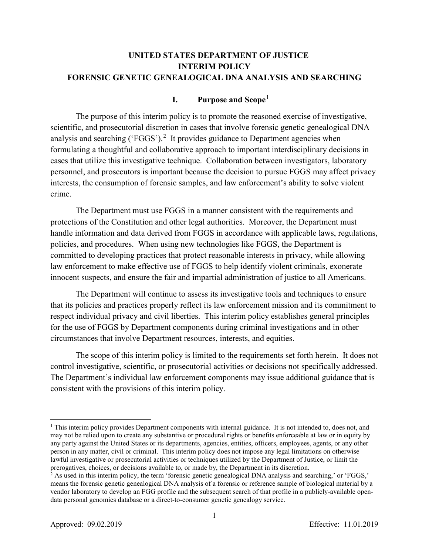# **UNITED STATES DEPARTMENT OF JUSTICE INTERIM POLICY FORENSIC GENETIC GENEALOGICAL DNA ANALYSIS AND SEARCHING**

## **I. Purpose and Scope**[1](#page-0-0)

The purpose of this interim policy is to promote the reasoned exercise of investigative, scientific, and prosecutorial discretion in cases that involve forensic genetic genealogical DNA analysis and searching ('FGGS').<sup>[2](#page-0-1)</sup> It provides guidance to Department agencies when formulating a thoughtful and collaborative approach to important interdisciplinary decisions in cases that utilize this investigative technique. Collaboration between investigators, laboratory personnel, and prosecutors is important because the decision to pursue FGGS may affect privacy interests, the consumption of forensic samples, and law enforcement's ability to solve violent crime.

The Department must use FGGS in a manner consistent with the requirements and protections of the Constitution and other legal authorities. Moreover, the Department must handle information and data derived from FGGS in accordance with applicable laws, regulations, policies, and procedures. When using new technologies like FGGS, the Department is committed to developing practices that protect reasonable interests in privacy, while allowing law enforcement to make effective use of FGGS to help identify violent criminals, exonerate innocent suspects, and ensure the fair and impartial administration of justice to all Americans.

The Department will continue to assess its investigative tools and techniques to ensure that its policies and practices properly reflect its law enforcement mission and its commitment to respect individual privacy and civil liberties. This interim policy establishes general principles for the use of FGGS by Department components during criminal investigations and in other circumstances that involve Department resources, interests, and equities.

The scope of this interim policy is limited to the requirements set forth herein. It does not control investigative, scientific, or prosecutorial activities or decisions not specifically addressed. The Department's individual law enforcement components may issue additional guidance that is consistent with the provisions of this interim policy.

<span id="page-0-0"></span> $1$  This interim policy provides Department components with internal guidance. It is not intended to, does not, and may not be relied upon to create any substantive or procedural rights or benefits enforceable at law or in equity by any party against the United States or its departments, agencies, entities, officers, employees, agents, or any other person in any matter, civil or criminal. This interim policy does not impose any legal limitations on otherwise lawful investigative or prosecutorial activities or techniques utilized by the Department of Justice, or limit the prerogatives, choices, or decisions available to, or made by, the Department in its discretion.

<span id="page-0-1"></span> $2^2$  As used in this interim policy, the term 'forensic genetic genealogical DNA analysis and searching,' or 'FGGS,' means the forensic genetic genealogical DNA analysis of a forensic or reference sample of biological material by a vendor laboratory to develop an FGG profile and the subsequent search of that profile in a publicly-available opendata personal genomics database or a direct-to-consumer genetic genealogy service.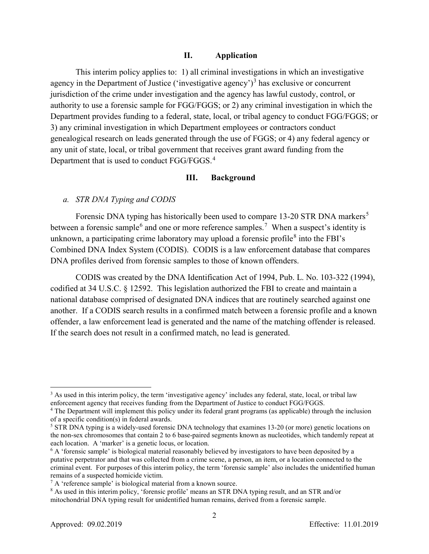### **II. Application**

This interim policy applies to: 1) all criminal investigations in which an investigative agency in the Department of Justice ('investigative agency')<sup>[3](#page-1-0)</sup> has exclusive or concurrent jurisdiction of the crime under investigation and the agency has lawful custody, control, or authority to use a forensic sample for FGG/FGGS; or 2) any criminal investigation in which the Department provides funding to a federal, state, local, or tribal agency to conduct FGG/FGGS; or 3) any criminal investigation in which Department employees or contractors conduct genealogical research on leads generated through the use of FGGS; or 4) any federal agency or any unit of state, local, or tribal government that receives grant award funding from the Department that is used to conduct FGG/FGGS.<sup>[4](#page-1-1)</sup>

### **III. Background**

#### *a. STR DNA Typing and CODIS*

Forensic DNA typing has historically been used to compare 13-20 STR DNA markers<sup>[5](#page-1-2)</sup> between a forensic sample<sup>[6](#page-1-3)</sup> and one or more reference samples.<sup>[7](#page-1-4)</sup> When a suspect's identity is unknown, a participating crime laboratory may upload a forensic profile $^8$  $^8$  into the FBI's Combined DNA Index System (CODIS). CODIS is a law enforcement database that compares DNA profiles derived from forensic samples to those of known offenders.

CODIS was created by the DNA Identification Act of 1994, Pub. L. No. 103-322 (1994), codified at 34 U.S.C. § 12592. This legislation authorized the FBI to create and maintain a national database comprised of designated DNA indices that are routinely searched against one another. If a CODIS search results in a confirmed match between a forensic profile and a known offender, a law enforcement lead is generated and the name of the matching offender is released. If the search does not result in a confirmed match, no lead is generated.

<span id="page-1-0"></span><sup>&</sup>lt;sup>3</sup> As used in this interim policy, the term 'investigative agency' includes any federal, state, local, or tribal law

<span id="page-1-1"></span>enforcement agency that receives funding from the Department of Justice to conduct FGG/FGGS. 4 The Department will implement this policy under its federal grant programs (as applicable) through the inclusion of a specific condition(s) in federal awards.

<span id="page-1-2"></span><sup>&</sup>lt;sup>5</sup> STR DNA typing is a widely-used forensic DNA technology that examines 13-20 (or more) genetic locations on the non-sex chromosomes that contain 2 to 6 base-paired segments known as nucleotides, which tandemly repeat at each location. A 'marker' is a genetic locus, or location.

<span id="page-1-3"></span><sup>&</sup>lt;sup>6</sup> A 'forensic sample' is biological material reasonably believed by investigators to have been deposited by a putative perpetrator and that was collected from a crime scene, a person, an item, or a location connected to the criminal event. For purposes of this interim policy, the term 'forensic sample' also includes the unidentified human remains of a suspected homicide victim.<br>  $\binom{7}{1}$  A 'reference sample' is biological material from a known source.

<span id="page-1-5"></span><span id="page-1-4"></span><sup>&</sup>lt;sup>8</sup> As used in this interim policy, 'forensic profile' means an STR DNA typing result, and an STR and/or mitochondrial DNA typing result for unidentified human remains, derived from a forensic sample.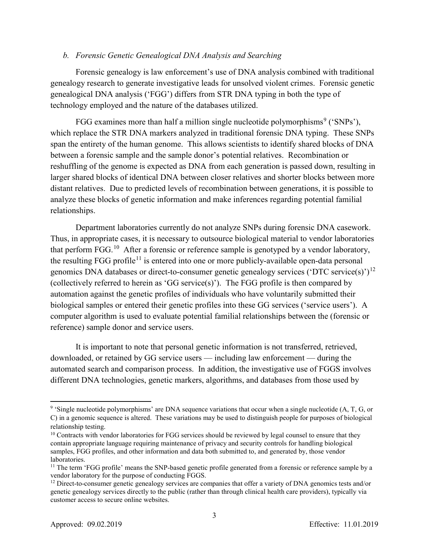### *b. Forensic Genetic Genealogical DNA Analysis and Searching*

Forensic genealogy is law enforcement's use of DNA analysis combined with traditional genealogy research to generate investigative leads for unsolved violent crimes. Forensic genetic genealogical DNA analysis ('FGG') differs from STR DNA typing in both the type of technology employed and the nature of the databases utilized.

FGG examines more than half a million single nucleotide polymorphisms<sup>[9](#page-2-0)</sup> ('SNPs'), which replace the STR DNA markers analyzed in traditional forensic DNA typing. These SNPs span the entirety of the human genome. This allows scientists to identify shared blocks of DNA between a forensic sample and the sample donor's potential relatives. Recombination or reshuffling of the genome is expected as DNA from each generation is passed down, resulting in larger shared blocks of identical DNA between closer relatives and shorter blocks between more distant relatives. Due to predicted levels of recombination between generations, it is possible to analyze these blocks of genetic information and make inferences regarding potential familial relationships.

Department laboratories currently do not analyze SNPs during forensic DNA casework. Thus, in appropriate cases, it is necessary to outsource biological material to vendor laboratories that perform FGG.<sup>[10](#page-2-1)</sup> After a forensic or reference sample is genotyped by a vendor laboratory, the resulting FGG profile<sup>[11](#page-2-2)</sup> is entered into one or more publicly-available open-data personal genomics DNA databases or direct-to-consumer genetic genealogy services ('DTC service(s)')<sup>[12](#page-2-3)</sup> (collectively referred to herein as 'GG service(s)'). The FGG profile is then compared by automation against the genetic profiles of individuals who have voluntarily submitted their biological samples or entered their genetic profiles into these GG services ('service users'). A computer algorithm is used to evaluate potential familial relationships between the (forensic or reference) sample donor and service users.

It is important to note that personal genetic information is not transferred, retrieved, downloaded, or retained by GG service users — including law enforcement — during the automated search and comparison process. In addition, the investigative use of FGGS involves different DNA technologies, genetic markers, algorithms, and databases from those used by

 $\overline{\phantom{a}}$ 

<span id="page-2-0"></span><sup>&</sup>lt;sup>9</sup> 'Single nucleotide polymorphisms' are DNA sequence variations that occur when a single nucleotide (A, T, G, or C) in a genomic sequence is altered. These variations may be used to distinguish people for purposes of biological relationship testing.

<span id="page-2-1"></span><sup>&</sup>lt;sup>10</sup> Contracts with vendor laboratories for FGG services should be reviewed by legal counsel to ensure that they contain appropriate language requiring maintenance of privacy and security controls for handling biological samples, FGG profiles, and other information and data both submitted to, and generated by, those vendor laboratories.

<span id="page-2-2"></span><sup>&</sup>lt;sup>11</sup> The term 'FGG profile' means the SNP-based genetic profile generated from a forensic or reference sample by a vendor laboratory for the purpose of conducting FGGS.

<span id="page-2-3"></span><sup>&</sup>lt;sup>12</sup> Direct-to-consumer genetic genealogy services are companies that offer a variety of DNA genomics tests and/or genetic genealogy services directly to the public (rather than through clinical health care providers), typically via customer access to secure online websites.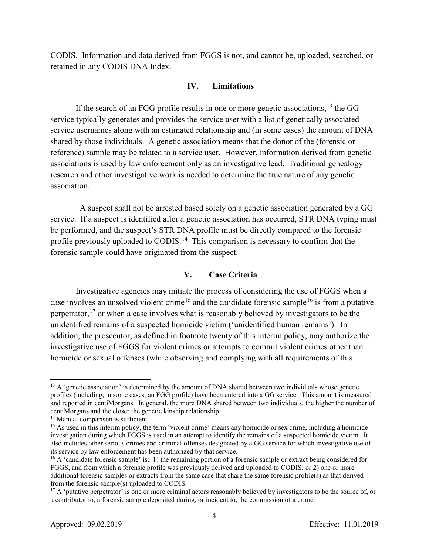CODIS. Information and data derived from FGGS is not, and cannot be, uploaded, searched, or retained in any CODIS DNA Index.

### **IV. Limitations**

If the search of an FGG profile results in one or more genetic associations,  $^{13}$  $^{13}$  $^{13}$  the GG service typically generates and provides the service user with a list of genetically associated service usernames along with an estimated relationship and (in some cases) the amount of DNA shared by those individuals. A genetic association means that the donor of the (forensic or reference) sample may be related to a service user. However, information derived from genetic associations is used by law enforcement only as an investigative lead. Traditional genealogy research and other investigative work is needed to determine the true nature of any genetic association.

 A suspect shall not be arrested based solely on a genetic association generated by a GG service. If a suspect is identified after a genetic association has occurred, STR DNA typing must be performed, and the suspect's STR DNA profile must be directly compared to the forensic profile previously uploaded to CODIS.<sup>14</sup> This comparison is necessary to confirm that the forensic sample could have originated from the suspect.

## **V. Case Criteria**

Investigative agencies may initiate the process of considering the use of FGGS when a case involves an unsolved violent crime<sup>[15](#page-3-2)</sup> and the candidate forensic sample<sup>[16](#page-3-3)</sup> is from a putative perpetrator,<sup>[17](#page-3-4)</sup> or when a case involves what is reasonably believed by investigators to be the unidentified remains of a suspected homicide victim ('unidentified human remains'). In addition, the prosecutor, as defined in footnote twenty of this interim policy, may authorize the investigative use of FGGS for violent crimes or attempts to commit violent crimes other than homicide or sexual offenses (while observing and complying with all requirements of this

<span id="page-3-0"></span> $13$  A 'genetic association' is determined by the amount of DNA shared between two individuals whose genetic profiles (including, in some cases, an FGG profile) have been entered into a GG service. This amount is measured and reported in centiMorgans. In general, the more DNA shared between two individuals, the higher the number of centiMorgans and the closer the genetic kinship relationship.

<span id="page-3-1"></span><sup>&</sup>lt;sup>14</sup> Manual comparison is sufficient.

<span id="page-3-2"></span><sup>&</sup>lt;sup>15</sup> As used in this interim policy, the term 'violent crime' means any homicide or sex crime, including a homicide investigation during which FGGS is used in an attempt to identify the remains of a suspected homicide victim. It also includes other serious crimes and criminal offenses designated by a GG service for which investigative use of its service by law enforcement has been authorized by that service.<br><sup>16</sup> A 'candidate forensic sample' is: 1) the remaining portion of a forensic sample or extract being considered for

<span id="page-3-3"></span>FGGS, and from which a forensic profile was previously derived and uploaded to CODIS; or 2) one or more additional forensic samples or extracts from the same case that share the same forensic profile(s) as that derived from the forensic sample(s) uploaded to CODIS.

<span id="page-3-4"></span><sup>&</sup>lt;sup>17</sup> A 'putative perpetrator' is one or more criminal actors reasonably believed by investigators to be the source of, or a contributor to, a forensic sample deposited during, or incident to, the commission of a crime.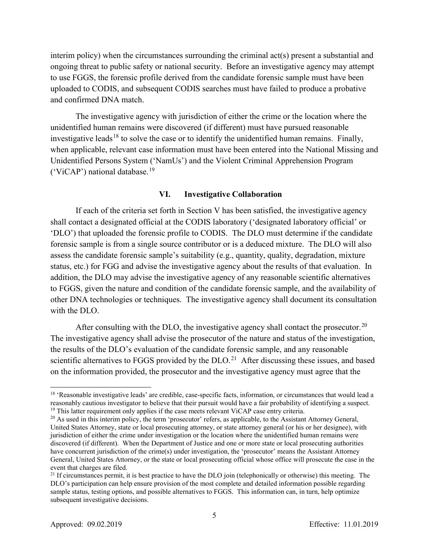interim policy) when the circumstances surrounding the criminal act(s) present a substantial and ongoing threat to public safety or national security. Before an investigative agency may attempt to use FGGS, the forensic profile derived from the candidate forensic sample must have been uploaded to CODIS, and subsequent CODIS searches must have failed to produce a probative and confirmed DNA match.

The investigative agency with jurisdiction of either the crime or the location where the unidentified human remains were discovered (if different) must have pursued reasonable investigative leads<sup>[18](#page-4-0)</sup> to solve the case or to identify the unidentified human remains. Finally, when applicable, relevant case information must have been entered into the National Missing and Unidentified Persons System ('NamUs') and the Violent Criminal Apprehension Program ('ViCAP') national database.<sup>[19](#page-4-1)</sup>

#### **VI. Investigative Collaboration**

If each of the criteria set forth in Section V has been satisfied, the investigative agency shall contact a designated official at the CODIS laboratory ('designated laboratory official' or 'DLO') that uploaded the forensic profile to CODIS. The DLO must determine if the candidate forensic sample is from a single source contributor or is a deduced mixture. The DLO will also assess the candidate forensic sample's suitability (e.g., quantity, quality, degradation, mixture status, etc.) for FGG and advise the investigative agency about the results of that evaluation. In addition, the DLO may advise the investigative agency of any reasonable scientific alternatives to FGGS, given the nature and condition of the candidate forensic sample, and the availability of other DNA technologies or techniques. The investigative agency shall document its consultation with the DLO.

After consulting with the DLO, the investigative agency shall contact the prosecutor.<sup>[20](#page-4-2)</sup> The investigative agency shall advise the prosecutor of the nature and status of the investigation, the results of the DLO's evaluation of the candidate forensic sample, and any reasonable scientific alternatives to FGGS provided by the  $DLO.<sup>21</sup>$  $DLO.<sup>21</sup>$  $DLO.<sup>21</sup>$  After discussing these issues, and based on the information provided, the prosecutor and the investigative agency must agree that the

l

5

<span id="page-4-0"></span><sup>&</sup>lt;sup>18</sup> 'Reasonable investigative leads' are credible, case-specific facts, information, or circumstances that would lead a reasonably cautious investigator to believe that their pursuit would have a fair probability of identifying a suspect. 19 This latter requirement only applies if the case meets relevant ViCAP case entry criteria.

<span id="page-4-2"></span><span id="page-4-1"></span><sup>&</sup>lt;sup>20</sup> As used in this interim policy, the term 'prosecutor' refers, as applicable, to the Assistant Attorney General, United States Attorney, state or local prosecuting attorney, or state attorney general (or his or her designee), with jurisdiction of either the crime under investigation or the location where the unidentified human remains were discovered (if different). When the Department of Justice and one or more state or local prosecuting authorities have concurrent jurisdiction of the crime(s) under investigation, the 'prosecutor' means the Assistant Attorney General, United States Attorney, or the state or local prosecuting official whose office will prosecute the case in the event that charges are filed.

<span id="page-4-3"></span><sup>&</sup>lt;sup>21</sup> If circumstances permit, it is best practice to have the DLO join (telephonically or otherwise) this meeting. The DLO's participation can help ensure provision of the most complete and detailed information possible regarding sample status, testing options, and possible alternatives to FGGS. This information can, in turn, help optimize subsequent investigative decisions.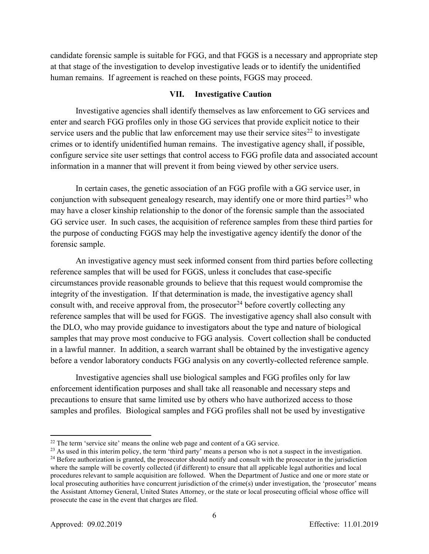candidate forensic sample is suitable for FGG, and that FGGS is a necessary and appropriate step at that stage of the investigation to develop investigative leads or to identify the unidentified human remains. If agreement is reached on these points, FGGS may proceed.

### **VII. Investigative Caution**

Investigative agencies shall identify themselves as law enforcement to GG services and enter and search FGG profiles only in those GG services that provide explicit notice to their service users and the public that law enforcement may use their service sites<sup>[22](#page-5-0)</sup> to investigate crimes or to identify unidentified human remains. The investigative agency shall, if possible, configure service site user settings that control access to FGG profile data and associated account information in a manner that will prevent it from being viewed by other service users.

In certain cases, the genetic association of an FGG profile with a GG service user, in conjunction with subsequent genealogy research, may identify one or more third parties<sup>23</sup> who may have a closer kinship relationship to the donor of the forensic sample than the associated GG service user. In such cases, the acquisition of reference samples from these third parties for the purpose of conducting FGGS may help the investigative agency identify the donor of the forensic sample.

An investigative agency must seek informed consent from third parties before collecting reference samples that will be used for FGGS, unless it concludes that case-specific circumstances provide reasonable grounds to believe that this request would compromise the integrity of the investigation. If that determination is made, the investigative agency shall consult with, and receive approval from, the prosecutor<sup>[24](#page-5-2)</sup> before covertly collecting any reference samples that will be used for FGGS. The investigative agency shall also consult with the DLO, who may provide guidance to investigators about the type and nature of biological samples that may prove most conducive to FGG analysis. Covert collection shall be conducted in a lawful manner. In addition, a search warrant shall be obtained by the investigative agency before a vendor laboratory conducts FGG analysis on any covertly-collected reference sample.

Investigative agencies shall use biological samples and FGG profiles only for law enforcement identification purposes and shall take all reasonable and necessary steps and precautions to ensure that same limited use by others who have authorized access to those samples and profiles. Biological samples and FGG profiles shall not be used by investigative

<span id="page-5-0"></span> $22$  The term 'service site' means the online web page and content of a GG service.

<span id="page-5-2"></span><span id="page-5-1"></span> $^{23}$  As used in this interim policy, the term 'third party' means a person who is not a suspect in the investigation.  $24$  Before authorization is granted, the prosecutor should notify and consult with the prosecutor in the jurisdiction where the sample will be covertly collected (if different) to ensure that all applicable legal authorities and local procedures relevant to sample acquisition are followed. When the Department of Justice and one or more state or local prosecuting authorities have concurrent jurisdiction of the crime(s) under investigation, the 'prosecutor' means the Assistant Attorney General, United States Attorney, or the state or local prosecuting official whose office will prosecute the case in the event that charges are filed.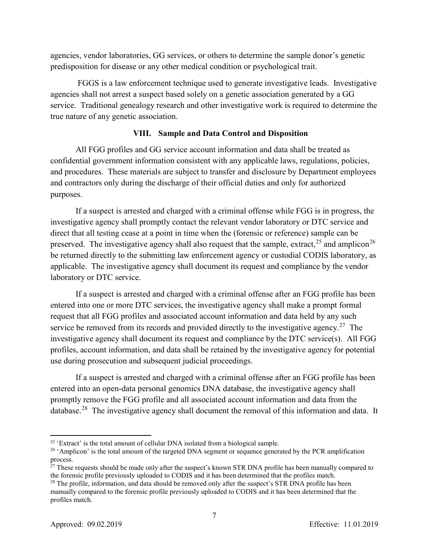agencies, vendor laboratories, GG services, or others to determine the sample donor's genetic predisposition for disease or any other medical condition or psychological trait.

FGGS is a law enforcement technique used to generate investigative leads. Investigative agencies shall not arrest a suspect based solely on a genetic association generated by a GG service. Traditional genealogy research and other investigative work is required to determine the true nature of any genetic association.

## **VIII. Sample and Data Control and Disposition**

All FGG profiles and GG service account information and data shall be treated as confidential government information consistent with any applicable laws, regulations, policies, and procedures. These materials are subject to transfer and disclosure by Department employees and contractors only during the discharge of their official duties and only for authorized purposes.

If a suspect is arrested and charged with a criminal offense while FGG is in progress, the investigative agency shall promptly contact the relevant vendor laboratory or DTC service and direct that all testing cease at a point in time when the (forensic or reference) sample can be preserved. The investigative agency shall also request that the sample, extract,  $25$  and amplicon  $26$ be returned directly to the submitting law enforcement agency or custodial CODIS laboratory, as applicable. The investigative agency shall document its request and compliance by the vendor laboratory or DTC service.

If a suspect is arrested and charged with a criminal offense after an FGG profile has been entered into one or more DTC services, the investigative agency shall make a prompt formal request that all FGG profiles and associated account information and data held by any such service be removed from its records and provided directly to the investigative agency.<sup>27</sup> The investigative agency shall document its request and compliance by the DTC service(s). All FGG profiles, account information, and data shall be retained by the investigative agency for potential use during prosecution and subsequent judicial proceedings.

If a suspect is arrested and charged with a criminal offense after an FGG profile has been entered into an open-data personal genomics DNA database, the investigative agency shall promptly remove the FGG profile and all associated account information and data from the database.<sup>[28](#page-6-3)</sup> The investigative agency shall document the removal of this information and data. It

<span id="page-6-0"></span><sup>&</sup>lt;sup>25</sup> 'Extract' is the total amount of cellular DNA isolated from a biological sample.

<span id="page-6-1"></span><sup>&</sup>lt;sup>26</sup> 'Amplicon' is the total amount of the targeted DNA segment or sequence generated by the PCR amplification process.

<span id="page-6-2"></span><sup>&</sup>lt;sup>27</sup> These requests should be made only after the suspect's known STR DNA profile has been manually compared to the forensic profile previously uploaded to CODIS and it has been determined that the profiles match.

<span id="page-6-3"></span><sup>&</sup>lt;sup>28</sup> The profile, information, and data should be removed only after the suspect's STR DNA profile has been manually compared to the forensic profile previously uploaded to CODIS and it has been determined that the profiles match.